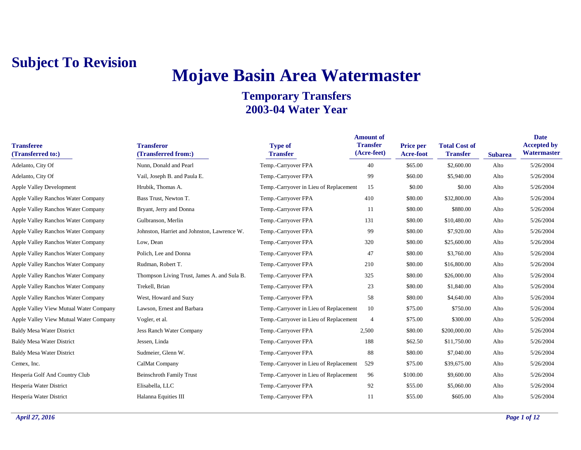# **Mojave Basin Area Watermaster**

| <b>Transferee</b><br>(Transferred to:)    | <b>Transferor</b><br>(Transferred from:)    | <b>Type of</b><br><b>Transfer</b>      | <b>Amount of</b><br><b>Transfer</b><br>(Acre-feet) | Price per<br>Acre-foot | <b>Total Cost of</b><br><b>Transfer</b> | <b>Subarea</b> | <b>Date</b><br><b>Accepted by</b><br>Watermaster |
|-------------------------------------------|---------------------------------------------|----------------------------------------|----------------------------------------------------|------------------------|-----------------------------------------|----------------|--------------------------------------------------|
| Adelanto, City Of                         | Nunn, Donald and Pearl                      | Temp.-Carryover FPA                    | 40                                                 | \$65.00                | \$2,600.00                              | Alto           | 5/26/2004                                        |
| Adelanto, City Of                         | Vail, Joseph B. and Paula E.                | Temp.-Carryover FPA                    | 99                                                 | \$60.00                | \$5,940.00                              | Alto           | 5/26/2004                                        |
| <b>Apple Valley Development</b>           | Hrubik, Thomas A.                           | Temp.-Carryover in Lieu of Replacement | 15                                                 | \$0.00                 | \$0.00                                  | Alto           | 5/26/2004                                        |
| <b>Apple Valley Ranchos Water Company</b> | Bass Trust, Newton T.                       | Temp.-Carryover FPA                    | 410                                                | \$80.00                | \$32,800.00                             | Alto           | 5/26/2004                                        |
| <b>Apple Valley Ranchos Water Company</b> | Bryant, Jerry and Donna                     | Temp.-Carryover FPA                    | 11                                                 | \$80.00                | \$880.00                                | Alto           | 5/26/2004                                        |
| <b>Apple Valley Ranchos Water Company</b> | Gulbranson, Merlin                          | Temp.-Carryover FPA                    | 131                                                | \$80.00                | \$10,480.00                             | Alto           | 5/26/2004                                        |
| <b>Apple Valley Ranchos Water Company</b> | Johnston, Harriet and Johnston, Lawrence W. | Temp.-Carryover FPA                    | 99                                                 | \$80.00                | \$7,920.00                              | Alto           | 5/26/2004                                        |
| <b>Apple Valley Ranchos Water Company</b> | Low, Dean                                   | Temp.-Carryover FPA                    | 320                                                | \$80.00                | \$25,600.00                             | Alto           | 5/26/2004                                        |
| <b>Apple Valley Ranchos Water Company</b> | Polich, Lee and Donna                       | Temp.-Carryover FPA                    | 47                                                 | \$80.00                | \$3,760.00                              | Alto           | 5/26/2004                                        |
| <b>Apple Valley Ranchos Water Company</b> | Rudman, Robert T.                           | Temp.-Carryover FPA                    | 210                                                | \$80.00                | \$16,800.00                             | Alto           | 5/26/2004                                        |
| <b>Apple Valley Ranchos Water Company</b> | Thompson Living Trust, James A. and Sula B. | Temp.-Carryover FPA                    | 325                                                | \$80.00                | \$26,000.00                             | Alto           | 5/26/2004                                        |
| <b>Apple Valley Ranchos Water Company</b> | Trekell, Brian                              | Temp.-Carryover FPA                    | 23                                                 | \$80.00                | \$1,840.00                              | Alto           | 5/26/2004                                        |
| <b>Apple Valley Ranchos Water Company</b> | West, Howard and Suzy                       | Temp.-Carryover FPA                    | 58                                                 | \$80.00                | \$4,640.00                              | Alto           | 5/26/2004                                        |
| Apple Valley View Mutual Water Company    | Lawson, Ernest and Barbara                  | Temp.-Carryover in Lieu of Replacement | 10                                                 | \$75.00                | \$750.00                                | Alto           | 5/26/2004                                        |
| Apple Valley View Mutual Water Company    | Vogler, et al.                              | Temp.-Carryover in Lieu of Replacement | $\overline{4}$                                     | \$75.00                | \$300.00                                | Alto           | 5/26/2004                                        |
| <b>Baldy Mesa Water District</b>          | Jess Ranch Water Company                    | Temp.-Carryover FPA                    | 2,500                                              | \$80.00                | \$200,000.00                            | Alto           | 5/26/2004                                        |
| <b>Baldy Mesa Water District</b>          | Jessen, Linda                               | Temp.-Carryover FPA                    | 188                                                | \$62.50                | \$11,750.00                             | Alto           | 5/26/2004                                        |
| <b>Baldy Mesa Water District</b>          | Sudmeier, Glenn W.                          | Temp.-Carryover FPA                    | 88                                                 | \$80.00                | \$7,040.00                              | Alto           | 5/26/2004                                        |
| Cemex, Inc.                               | CalMat Company                              | Temp.-Carryover in Lieu of Replacement | 529                                                | \$75.00                | \$39,675.00                             | Alto           | 5/26/2004                                        |
| Hesperia Golf And Country Club            | <b>Beinschroth Family Trust</b>             | Temp.-Carryover in Lieu of Replacement | 96                                                 | \$100.00               | \$9,600.00                              | Alto           | 5/26/2004                                        |
| Hesperia Water District                   | Elisabella, LLC                             | Temp.-Carryover FPA                    | 92                                                 | \$55.00                | \$5,060.00                              | Alto           | 5/26/2004                                        |
| Hesperia Water District                   | Halanna Equities III                        | Temp.-Carryover FPA                    | 11                                                 | \$55.00                | \$605.00                                | Alto           | 5/26/2004                                        |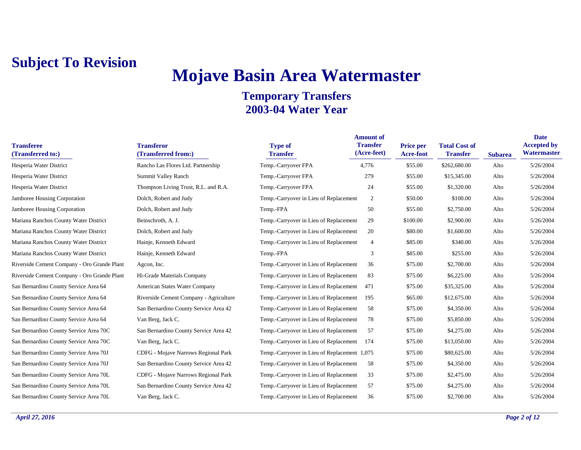# **Mojave Basin Area Watermaster**

| <b>Transferee</b><br>(Transferred to:)      | <b>Transferor</b><br>(Transferred from:) | <b>Type of</b><br><b>Transfer</b>            | <b>Amount of</b><br><b>Transfer</b><br>(Acre-feet) | <b>Price per</b><br>Acre-foot | <b>Total Cost of</b><br><b>Transfer</b> | <b>Subarea</b> | <b>Date</b><br><b>Accepted by</b><br>Watermaster |
|---------------------------------------------|------------------------------------------|----------------------------------------------|----------------------------------------------------|-------------------------------|-----------------------------------------|----------------|--------------------------------------------------|
| Hesperia Water District                     | Rancho Las Flores Ltd. Partnership       | Temp.-Carryover FPA                          | 4,776                                              | \$55.00                       | \$262,680.00                            | Alto           | 5/26/2004                                        |
| Hesperia Water District                     | Summit Valley Ranch                      | Temp.-Carryover FPA                          | 279                                                | \$55.00                       | \$15,345.00                             | Alto           | 5/26/2004                                        |
| Hesperia Water District                     | Thompson Living Trust, R.L. and R.A.     | Temp.-Carryover FPA                          | 24                                                 | \$55.00                       | \$1,320.00                              | Alto           | 5/26/2004                                        |
| Jamboree Housing Corporation                | Dolch, Robert and Judy                   | Temp.-Carryover in Lieu of Replacement       | 2                                                  | \$50.00                       | \$100.00                                | Alto           | 5/26/2004                                        |
| Jamboree Housing Corporation                | Dolch, Robert and Judy                   | Temp.-FPA                                    | 50                                                 | \$55.00                       | \$2,750.00                              | Alto           | 5/26/2004                                        |
| Mariana Ranchos County Water District       | Beinschroth, A. J.                       | Temp.-Carryover in Lieu of Replacement       | 29                                                 | \$100.00                      | \$2,900.00                              | Alto           | 5/26/2004                                        |
| Mariana Ranchos County Water District       | Dolch, Robert and Judy                   | Temp.-Carryover in Lieu of Replacement       | 20                                                 | \$80.00                       | \$1,600.00                              | Alto           | 5/26/2004                                        |
| Mariana Ranchos County Water District       | Hainje, Kenneth Edward                   | Temp.-Carryover in Lieu of Replacement       | $\overline{4}$                                     | \$85.00                       | \$340.00                                | Alto           | 5/26/2004                                        |
| Mariana Ranchos County Water District       | Hainje, Kenneth Edward                   | Temp.-FPA                                    | 3                                                  | \$85.00                       | \$255.00                                | Alto           | 5/26/2004                                        |
| Riverside Cement Company - Oro Grande Plant | Agcon, Inc.                              | Temp.-Carryover in Lieu of Replacement       | 36                                                 | \$75.00                       | \$2,700.00                              | Alto           | 5/26/2004                                        |
| Riverside Cement Company - Oro Grande Plant | Hi-Grade Materials Company               | Temp.-Carryover in Lieu of Replacement       | 83                                                 | \$75.00                       | \$6,225.00                              | Alto           | 5/26/2004                                        |
| San Bernardino County Service Area 64       | American States Water Company            | Temp.-Carryover in Lieu of Replacement       | 471                                                | \$75.00                       | \$35,325.00                             | Alto           | 5/26/2004                                        |
| San Bernardino County Service Area 64       | Riverside Cement Company - Agriculture   | Temp.-Carryover in Lieu of Replacement       | 195                                                | \$65.00                       | \$12,675.00                             | Alto           | 5/26/2004                                        |
| San Bernardino County Service Area 64       | San Bernardino County Service Area 42    | Temp.-Carryover in Lieu of Replacement       | 58                                                 | \$75.00                       | \$4,350.00                              | Alto           | 5/26/2004                                        |
| San Bernardino County Service Area 64       | Van Berg, Jack C.                        | Temp.-Carryover in Lieu of Replacement       | 78                                                 | \$75.00                       | \$5,850.00                              | Alto           | 5/26/2004                                        |
| San Bernardino County Service Area 70C      | San Bernardino County Service Area 42    | Temp.-Carryover in Lieu of Replacement       | 57                                                 | \$75.00                       | \$4,275.00                              | Alto           | 5/26/2004                                        |
| San Bernardino County Service Area 70C      | Van Berg, Jack C.                        | Temp.-Carryover in Lieu of Replacement       | 174                                                | \$75.00                       | \$13,050.00                             | Alto           | 5/26/2004                                        |
| San Bernardino County Service Area 70J      | CDFG - Mojave Narrows Regional Park      | Temp.-Carryover in Lieu of Replacement 1,075 |                                                    | \$75.00                       | \$80,625.00                             | Alto           | 5/26/2004                                        |
| San Bernardino County Service Area 70J      | San Bernardino County Service Area 42    | Temp.-Carryover in Lieu of Replacement       | 58                                                 | \$75.00                       | \$4,350.00                              | Alto           | 5/26/2004                                        |
| San Bernardino County Service Area 70L      | CDFG - Mojave Narrows Regional Park      | Temp.-Carryover in Lieu of Replacement       | 33                                                 | \$75.00                       | \$2,475.00                              | Alto           | 5/26/2004                                        |
| San Bernardino County Service Area 70L      | San Bernardino County Service Area 42    | Temp.-Carryover in Lieu of Replacement       | 57                                                 | \$75.00                       | \$4,275.00                              | Alto           | 5/26/2004                                        |
| San Bernardino County Service Area 70L      | Van Berg, Jack C.                        | Temp.-Carryover in Lieu of Replacement       | 36                                                 | \$75.00                       | \$2,700.00                              | Alto           | 5/26/2004                                        |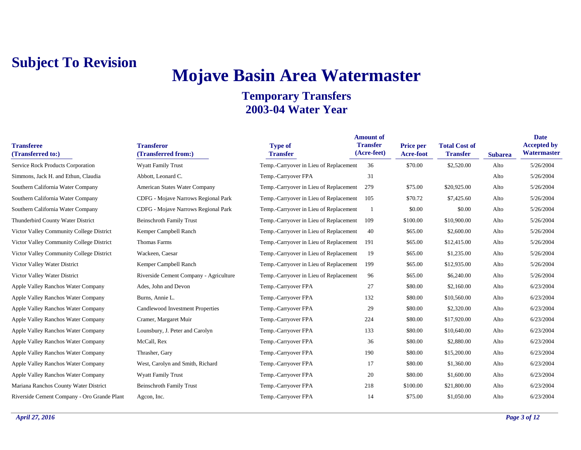## **Mojave Basin Area Watermaster**

| <b>Transferee</b><br>(Transferred to:)      | <b>Transferor</b><br>(Transferred from:) | <b>Type of</b><br><b>Transfer</b>      | <b>Amount of</b><br><b>Transfer</b><br>(Acre-feet) | Price per<br><b>Acre-foot</b> | <b>Total Cost of</b><br><b>Transfer</b> | <b>Subarea</b> | <b>Date</b><br><b>Accepted by</b><br><b>Watermaster</b> |
|---------------------------------------------|------------------------------------------|----------------------------------------|----------------------------------------------------|-------------------------------|-----------------------------------------|----------------|---------------------------------------------------------|
| Service Rock Products Corporation           | <b>Wyatt Family Trust</b>                | Temp.-Carryover in Lieu of Replacement | 36                                                 | \$70.00                       | \$2,520.00                              | Alto           | 5/26/2004                                               |
| Simmons, Jack H. and Ethun, Claudia         | Abbott, Leonard C.                       | Temp.-Carryover FPA                    | 31                                                 |                               |                                         | Alto           | 5/26/2004                                               |
| Southern California Water Company           | American States Water Company            | Temp.-Carryover in Lieu of Replacement | 279                                                | \$75.00                       | \$20,925.00                             | Alto           | 5/26/2004                                               |
| Southern California Water Company           | CDFG - Mojave Narrows Regional Park      | Temp.-Carryover in Lieu of Replacement | 105                                                | \$70.72                       | \$7,425.60                              | Alto           | 5/26/2004                                               |
| Southern California Water Company           | CDFG - Mojave Narrows Regional Park      | Temp.-Carryover in Lieu of Replacement | -1                                                 | \$0.00                        | \$0.00                                  | Alto           | 5/26/2004                                               |
| Thunderbird County Water District           | <b>Beinschroth Family Trust</b>          | Temp.-Carryover in Lieu of Replacement | 109                                                | \$100.00                      | \$10,900.00                             | Alto           | 5/26/2004                                               |
| Victor Valley Community College District    | Kemper Campbell Ranch                    | Temp.-Carryover in Lieu of Replacement | 40                                                 | \$65.00                       | \$2,600.00                              | Alto           | 5/26/2004                                               |
| Victor Valley Community College District    | Thomas Farms                             | Temp.-Carryover in Lieu of Replacement | 191                                                | \$65.00                       | \$12,415.00                             | Alto           | 5/26/2004                                               |
| Victor Valley Community College District    | Wackeen, Caesar                          | Temp.-Carryover in Lieu of Replacement | 19                                                 | \$65.00                       | \$1,235.00                              | Alto           | 5/26/2004                                               |
| Victor Valley Water District                | Kemper Campbell Ranch                    | Temp.-Carryover in Lieu of Replacement | 199                                                | \$65.00                       | \$12,935.00                             | Alto           | 5/26/2004                                               |
| Victor Valley Water District                | Riverside Cement Company - Agriculture   | Temp.-Carryover in Lieu of Replacement | 96                                                 | \$65.00                       | \$6,240.00                              | Alto           | 5/26/2004                                               |
| Apple Valley Ranchos Water Company          | Ades, John and Devon                     | Temp.-Carryover FPA                    | 27                                                 | \$80.00                       | \$2,160.00                              | Alto           | 6/23/2004                                               |
| Apple Valley Ranchos Water Company          | Burns, Annie L.                          | Temp.-Carryover FPA                    | 132                                                | \$80.00                       | \$10,560.00                             | Alto           | 6/23/2004                                               |
| Apple Valley Ranchos Water Company          | Candlewood Investment Properties         | Temp.-Carryover FPA                    | 29                                                 | \$80.00                       | \$2,320.00                              | Alto           | 6/23/2004                                               |
| Apple Valley Ranchos Water Company          | Cramer, Margaret Muir                    | Temp.-Carryover FPA                    | 224                                                | \$80.00                       | \$17,920.00                             | Alto           | 6/23/2004                                               |
| Apple Valley Ranchos Water Company          | Lounsbury, J. Peter and Carolyn          | Temp.-Carryover FPA                    | 133                                                | \$80.00                       | \$10,640.00                             | Alto           | 6/23/2004                                               |
| Apple Valley Ranchos Water Company          | McCall, Rex                              | Temp.-Carryover FPA                    | 36                                                 | \$80.00                       | \$2,880.00                              | Alto           | 6/23/2004                                               |
| Apple Valley Ranchos Water Company          | Thrasher, Gary                           | Temp.-Carryover FPA                    | 190                                                | \$80.00                       | \$15,200.00                             | Alto           | 6/23/2004                                               |
| Apple Valley Ranchos Water Company          | West, Carolyn and Smith, Richard         | Temp.-Carryover FPA                    | 17                                                 | \$80.00                       | \$1,360.00                              | Alto           | 6/23/2004                                               |
| Apple Valley Ranchos Water Company          | <b>Wyatt Family Trust</b>                | Temp.-Carryover FPA                    | 20                                                 | \$80.00                       | \$1,600.00                              | Alto           | 6/23/2004                                               |
| Mariana Ranchos County Water District       | <b>Beinschroth Family Trust</b>          | Temp.-Carryover FPA                    | 218                                                | \$100.00                      | \$21,800.00                             | Alto           | 6/23/2004                                               |
| Riverside Cement Company - Oro Grande Plant | Agcon, Inc.                              | Temp.-Carryover FPA                    | 14                                                 | \$75.00                       | \$1,050.00                              | Alto           | 6/23/2004                                               |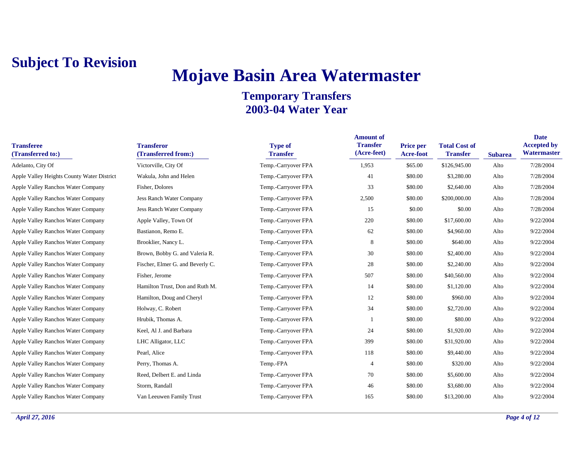## **Mojave Basin Area Watermaster**

| <b>Transferee</b><br>(Transferred to:)     | <b>Transferor</b><br>(Transferred from:) | <b>Type of</b><br><b>Transfer</b> | <b>Amount of</b><br><b>Transfer</b><br>(Acre-feet) | <b>Price per</b><br><b>Acre-foot</b> | <b>Total Cost of</b><br><b>Transfer</b> | <b>Subarea</b> | <b>Date</b><br><b>Accepted by</b><br>Watermaster |
|--------------------------------------------|------------------------------------------|-----------------------------------|----------------------------------------------------|--------------------------------------|-----------------------------------------|----------------|--------------------------------------------------|
| Adelanto, City Of                          | Victorville, City Of                     | Temp.-Carryover FPA               | 1,953                                              | \$65.00                              | \$126,945.00                            | Alto           | 7/28/2004                                        |
| Apple Valley Heights County Water District | Wakula, John and Helen                   | Temp.-Carryover FPA               | 41                                                 | \$80.00                              | \$3,280.00                              | Alto           | 7/28/2004                                        |
| Apple Valley Ranchos Water Company         | Fisher, Dolores                          | Temp.-Carryover FPA               | 33                                                 | \$80.00                              | \$2,640.00                              | Alto           | 7/28/2004                                        |
| Apple Valley Ranchos Water Company         | <b>Jess Ranch Water Company</b>          | Temp.-Carryover FPA               | 2,500                                              | \$80.00                              | \$200,000.00                            | Alto           | 7/28/2004                                        |
| Apple Valley Ranchos Water Company         | Jess Ranch Water Company                 | Temp.-Carryover FPA               | 15                                                 | \$0.00                               | \$0.00                                  | Alto           | 7/28/2004                                        |
| Apple Valley Ranchos Water Company         | Apple Valley, Town Of                    | Temp.-Carryover FPA               | 220                                                | \$80.00                              | \$17,600.00                             | Alto           | 9/22/2004                                        |
| Apple Valley Ranchos Water Company         | Bastianon, Remo E.                       | Temp.-Carryover FPA               | 62                                                 | \$80.00                              | \$4,960.00                              | Alto           | 9/22/2004                                        |
| Apple Valley Ranchos Water Company         | Brooklier, Nancy L.                      | Temp.-Carryover FPA               | 8                                                  | \$80.00                              | \$640.00                                | Alto           | 9/22/2004                                        |
| Apple Valley Ranchos Water Company         | Brown, Bobby G. and Valeria R.           | Temp.-Carryover FPA               | 30                                                 | \$80.00                              | \$2,400.00                              | Alto           | 9/22/2004                                        |
| Apple Valley Ranchos Water Company         | Fischer, Elmer G. and Beverly C.         | Temp.-Carryover FPA               | 28                                                 | \$80.00                              | \$2,240.00                              | Alto           | 9/22/2004                                        |
| Apple Valley Ranchos Water Company         | Fisher, Jerome                           | Temp.-Carryover FPA               | 507                                                | \$80.00                              | \$40,560.00                             | Alto           | 9/22/2004                                        |
| Apple Valley Ranchos Water Company         | Hamilton Trust, Don and Ruth M.          | Temp.-Carryover FPA               | 14                                                 | \$80.00                              | \$1,120.00                              | Alto           | 9/22/2004                                        |
| Apple Valley Ranchos Water Company         | Hamilton, Doug and Cheryl                | Temp.-Carryover FPA               | 12                                                 | \$80.00                              | \$960.00                                | Alto           | 9/22/2004                                        |
| Apple Valley Ranchos Water Company         | Holway, C. Robert                        | Temp.-Carryover FPA               | 34                                                 | \$80.00                              | \$2,720.00                              | Alto           | 9/22/2004                                        |
| Apple Valley Ranchos Water Company         | Hrubik, Thomas A.                        | Temp.-Carryover FPA               |                                                    | \$80.00                              | \$80.00                                 | Alto           | 9/22/2004                                        |
| Apple Valley Ranchos Water Company         | Keel, Al J. and Barbara                  | Temp.-Carryover FPA               | 24                                                 | \$80.00                              | \$1,920.00                              | Alto           | 9/22/2004                                        |
| Apple Valley Ranchos Water Company         | LHC Alligator, LLC                       | Temp.-Carryover FPA               | 399                                                | \$80.00                              | \$31,920.00                             | Alto           | 9/22/2004                                        |
| Apple Valley Ranchos Water Company         | Pearl, Alice                             | Temp.-Carryover FPA               | 118                                                | \$80.00                              | \$9,440.00                              | Alto           | 9/22/2004                                        |
| Apple Valley Ranchos Water Company         | Perry, Thomas A.                         | Temp.-FPA                         | $\overline{4}$                                     | \$80.00                              | \$320.00                                | Alto           | 9/22/2004                                        |
| Apple Valley Ranchos Water Company         | Reed, Delbert E. and Linda               | Temp.-Carryover FPA               | 70                                                 | \$80.00                              | \$5,600.00                              | Alto           | 9/22/2004                                        |
| Apple Valley Ranchos Water Company         | Storm, Randall                           | Temp.-Carryover FPA               | 46                                                 | \$80.00                              | \$3,680.00                              | Alto           | 9/22/2004                                        |
| Apple Valley Ranchos Water Company         | Van Leeuwen Family Trust                 | Temp.-Carryover FPA               | 165                                                | \$80.00                              | \$13,200.00                             | Alto           | 9/22/2004                                        |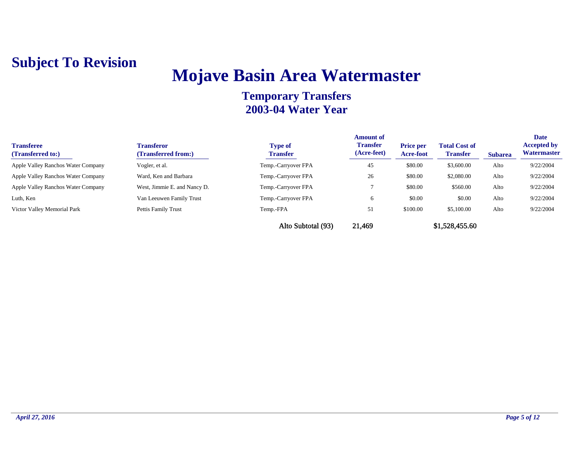## **Mojave Basin Area Watermaster**

| <b>Transferee</b><br>(Transferred to:) | <b>Transferor</b><br>(Transferred from:) | <b>Type of</b><br><b>Transfer</b> | <b>Amount of</b><br><b>Transfer</b><br>(Acre-feet) | <b>Price per</b><br><b>Acre-foot</b> | <b>Total Cost of</b><br><b>Transfer</b> | <b>Subarea</b> | <b>Date</b><br><b>Accepted by</b><br><b>Watermaster</b> |
|----------------------------------------|------------------------------------------|-----------------------------------|----------------------------------------------------|--------------------------------------|-----------------------------------------|----------------|---------------------------------------------------------|
| Apple Valley Ranchos Water Company     | Vogler, et al.                           | Temp.-Carryover FPA               | 45                                                 | \$80.00                              | \$3,600.00                              | Alto           | 9/22/2004                                               |
| Apple Valley Ranchos Water Company     | Ward, Ken and Barbara                    | Temp.-Carryover FPA               | 26                                                 | \$80.00                              | \$2,080.00                              | Alto           | 9/22/2004                                               |
| Apple Valley Ranchos Water Company     | West, Jimmie E. and Nancy D.             | Temp.-Carryover FPA               |                                                    | \$80.00                              | \$560.00                                | Alto           | 9/22/2004                                               |
| Luth, Ken                              | Van Leeuwen Family Trust                 | Temp.-Carryover FPA               | 6                                                  | \$0.00                               | \$0.00                                  | Alto           | 9/22/2004                                               |
| Victor Valley Memorial Park            | Pettis Family Trust                      | Temp.-FPA                         | 51                                                 | \$100.00                             | \$5,100.00                              | Alto           | 9/22/2004                                               |
|                                        |                                          | Alto Subtotal (93)                | 21,469                                             |                                      | \$1,528,455.60                          |                |                                                         |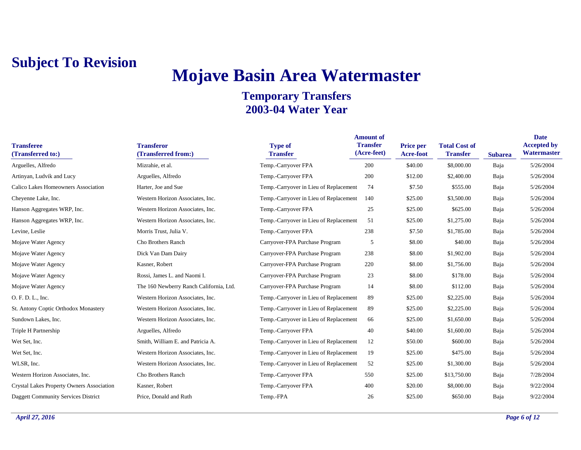## **Mojave Basin Area Watermaster**

| <b>Transferee</b><br>(Transferred to:)     | <b>Transferor</b><br>(Transferred from:) | <b>Type of</b><br><b>Transfer</b>      | <b>Amount of</b><br><b>Transfer</b><br>(Acre-feet) | <b>Price per</b><br>Acre-foot | <b>Total Cost of</b><br><b>Transfer</b> | <b>Subarea</b> | <b>Date</b><br><b>Accepted by</b><br>Watermaster |
|--------------------------------------------|------------------------------------------|----------------------------------------|----------------------------------------------------|-------------------------------|-----------------------------------------|----------------|--------------------------------------------------|
| Arguelles, Alfredo                         | Mizrahie, et al.                         | Temp.-Carryover FPA                    | 200                                                | \$40.00                       | \$8,000.00                              | Baja           | 5/26/2004                                        |
| Artinyan, Ludvik and Lucy                  | Arguelles, Alfredo                       | Temp.-Carryover FPA                    | 200                                                | \$12.00                       | \$2,400.00                              | Baja           | 5/26/2004                                        |
| Calico Lakes Homeowners Association        | Harter, Joe and Sue                      | Temp.-Carryover in Lieu of Replacement | 74                                                 | \$7.50                        | \$555.00                                | Baja           | 5/26/2004                                        |
| Cheyenne Lake, Inc.                        | Western Horizon Associates, Inc.         | Temp.-Carryover in Lieu of Replacement | 140                                                | \$25.00                       | \$3,500.00                              | Baja           | 5/26/2004                                        |
| Hanson Aggregates WRP, Inc.                | Western Horizon Associates, Inc.         | Temp.-Carryover FPA                    | 25                                                 | \$25.00                       | \$625.00                                | Baja           | 5/26/2004                                        |
| Hanson Aggregates WRP, Inc.                | Western Horizon Associates, Inc.         | Temp.-Carryover in Lieu of Replacement | 51                                                 | \$25.00                       | \$1,275.00                              | Baja           | 5/26/2004                                        |
| Levine, Leslie                             | Morris Trust, Julia V.                   | Temp.-Carryover FPA                    | 238                                                | \$7.50                        | \$1,785.00                              | Baja           | 5/26/2004                                        |
| Mojave Water Agency                        | Cho Brothers Ranch                       | Carryover-FPA Purchase Program         | 5                                                  | \$8.00                        | \$40.00                                 | Baja           | 5/26/2004                                        |
| Mojave Water Agency                        | Dick Van Dam Dairy                       | Carryover-FPA Purchase Program         | 238                                                | \$8.00                        | \$1,902.00                              | Baja           | 5/26/2004                                        |
| Mojave Water Agency                        | Kasner, Robert                           | Carryover-FPA Purchase Program         | 220                                                | \$8.00                        | \$1,756.00                              | Baja           | 5/26/2004                                        |
| Mojave Water Agency                        | Rossi, James L. and Naomi I.             | Carryover-FPA Purchase Program         | 23                                                 | \$8.00                        | \$178.00                                | Baja           | 5/26/2004                                        |
| Mojave Water Agency                        | The 160 Newberry Ranch California, Ltd.  | Carryover-FPA Purchase Program         | 14                                                 | \$8.00                        | \$112.00                                | Baja           | 5/26/2004                                        |
| O. F. D. L., Inc.                          | Western Horizon Associates, Inc.         | Temp.-Carryover in Lieu of Replacement | 89                                                 | \$25.00                       | \$2,225.00                              | Baja           | 5/26/2004                                        |
| St. Antony Coptic Orthodox Monastery       | Western Horizon Associates, Inc.         | Temp.-Carryover in Lieu of Replacement | 89                                                 | \$25.00                       | \$2,225.00                              | Baja           | 5/26/2004                                        |
| Sundown Lakes, Inc.                        | Western Horizon Associates, Inc.         | Temp.-Carryover in Lieu of Replacement | 66                                                 | \$25.00                       | \$1,650.00                              | Baja           | 5/26/2004                                        |
| Triple H Partnership                       | Arguelles, Alfredo                       | Temp.-Carryover FPA                    | 40                                                 | \$40.00                       | \$1,600.00                              | Baja           | 5/26/2004                                        |
| Wet Set, Inc.                              | Smith, William E. and Patricia A.        | Temp.-Carryover in Lieu of Replacement | 12                                                 | \$50.00                       | \$600.00                                | Baja           | 5/26/2004                                        |
| Wet Set, Inc.                              | Western Horizon Associates, Inc.         | Temp.-Carryover in Lieu of Replacement | 19                                                 | \$25.00                       | \$475.00                                | Baja           | 5/26/2004                                        |
| WLSR, Inc.                                 | Western Horizon Associates, Inc.         | Temp.-Carryover in Lieu of Replacement | 52                                                 | \$25.00                       | \$1,300.00                              | Baja           | 5/26/2004                                        |
| Western Horizon Associates, Inc.           | Cho Brothers Ranch                       | Temp.-Carryover FPA                    | 550                                                | \$25.00                       | \$13,750.00                             | Baja           | 7/28/2004                                        |
| Crystal Lakes Property Owners Association  | Kasner, Robert                           | Temp.-Carryover FPA                    | 400                                                | \$20.00                       | \$8,000.00                              | Baja           | 9/22/2004                                        |
| <b>Daggett Community Services District</b> | Price, Donald and Ruth                   | Temp.-FPA                              | 26                                                 | \$25.00                       | \$650.00                                | Baja           | 9/22/2004                                        |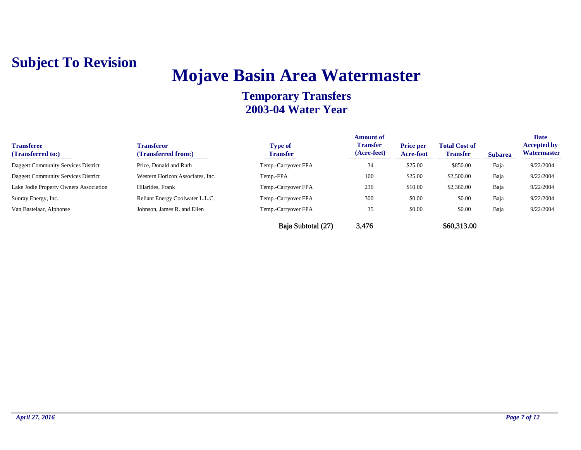## **Mojave Basin Area Watermaster**

| <b>Transferee</b><br>(Transferred to:) | <b>Transferor</b><br>(Transferred from:) | <b>Type of</b><br><b>Transfer</b> | <b>Amount of</b><br><b>Transfer</b><br>(Acre-feet) | <b>Price per</b><br><b>Acre-foot</b> | <b>Total Cost of</b><br><b>Transfer</b> | <b>Subarea</b> | <b>Date</b><br><b>Accepted by</b><br>Watermaster |
|----------------------------------------|------------------------------------------|-----------------------------------|----------------------------------------------------|--------------------------------------|-----------------------------------------|----------------|--------------------------------------------------|
| Daggett Community Services District    | Price, Donald and Ruth                   | Temp.-Carryover FPA               | 34                                                 | \$25.00                              | \$850.00                                | Baja           | 9/22/2004                                        |
| Daggett Community Services District    | Western Horizon Associates, Inc.         | Temp.-FPA                         | 100                                                | \$25.00                              | \$2,500.00                              | Baja           | 9/22/2004                                        |
| Lake Jodie Property Owners Association | Hilarides, Frank                         | Temp.-Carryover FPA               | 236                                                | \$10.00                              | \$2,360.00                              | Baja           | 9/22/2004                                        |
| Sunray Energy, Inc.                    | Reliant Energy Coolwater L.L.C.          | Temp.-Carryover FPA               | 300                                                | \$0.00                               | \$0.00                                  | Baja           | 9/22/2004                                        |
| Van Bastelaar, Alphonse                | Johnson, James R, and Ellen              | Temp.-Carryover FPA               | 35                                                 | \$0.00                               | \$0.00                                  | Baja           | 9/22/2004                                        |
|                                        |                                          | Baja Subtotal (27)                | 3,476                                              |                                      | \$60,313.00                             |                |                                                  |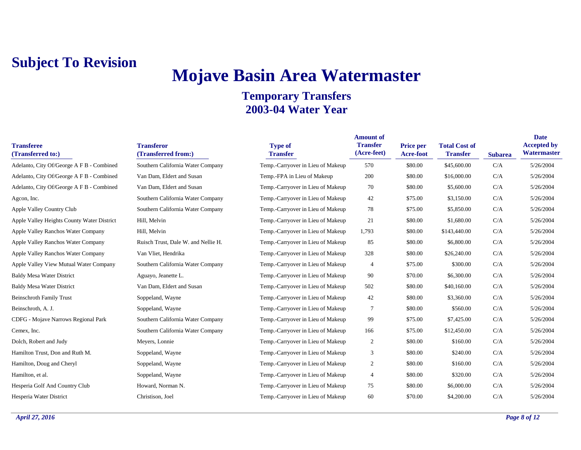# **Mojave Basin Area Watermaster**

| <b>Transferee</b><br>(Transferred to:)     | <b>Transferor</b><br>(Transferred from:) | <b>Type of</b><br><b>Transfer</b> | <b>Amount of</b><br><b>Transfer</b><br>(Acre-feet) | <b>Price per</b><br>Acre-foot | <b>Total Cost of</b><br><b>Transfer</b> | <b>Subarea</b> | <b>Date</b><br><b>Accepted by</b><br>Watermaster |
|--------------------------------------------|------------------------------------------|-----------------------------------|----------------------------------------------------|-------------------------------|-----------------------------------------|----------------|--------------------------------------------------|
| Adelanto, City Of/George A F B - Combined  | Southern California Water Company        | Temp.-Carryover in Lieu of Makeup | 570                                                | \$80.00                       | \$45,600.00                             | C/A            | 5/26/2004                                        |
| Adelanto, City Of/George A F B - Combined  | Van Dam, Eldert and Susan                | Temp.-FPA in Lieu of Makeup       | 200                                                | \$80.00                       | \$16,000.00                             | C/A            | 5/26/2004                                        |
| Adelanto, City Of/George A F B - Combined  | Van Dam, Eldert and Susan                | Temp.-Carryover in Lieu of Makeup | 70                                                 | \$80.00                       | \$5,600.00                              | C/A            | 5/26/2004                                        |
| Agcon, Inc.                                | Southern California Water Company        | Temp.-Carryover in Lieu of Makeup | 42                                                 | \$75.00                       | \$3,150.00                              | C/A            | 5/26/2004                                        |
| Apple Valley Country Club                  | Southern California Water Company        | Temp.-Carryover in Lieu of Makeup | 78                                                 | \$75.00                       | \$5,850.00                              | C/A            | 5/26/2004                                        |
| Apple Valley Heights County Water District | Hill, Melvin                             | Temp.-Carryover in Lieu of Makeup | 21                                                 | \$80.00                       | \$1,680.00                              | C/A            | 5/26/2004                                        |
| Apple Valley Ranchos Water Company         | Hill, Melvin                             | Temp.-Carryover in Lieu of Makeup | 1,793                                              | \$80.00                       | \$143,440.00                            | C/A            | 5/26/2004                                        |
| Apple Valley Ranchos Water Company         | Ruisch Trust, Dale W. and Nellie H.      | Temp.-Carryover in Lieu of Makeup | 85                                                 | \$80.00                       | \$6,800.00                              | C/A            | 5/26/2004                                        |
| Apple Valley Ranchos Water Company         | Van Vliet, Hendrika                      | Temp.-Carryover in Lieu of Makeup | 328                                                | \$80.00                       | \$26,240.00                             | C/A            | 5/26/2004                                        |
| Apple Valley View Mutual Water Company     | Southern California Water Company        | Temp.-Carryover in Lieu of Makeup | $\overline{4}$                                     | \$75.00                       | \$300.00                                | C/A            | 5/26/2004                                        |
| <b>Baldy Mesa Water District</b>           | Aguayo, Jeanette L.                      | Temp.-Carryover in Lieu of Makeup | 90                                                 | \$70.00                       | \$6,300.00                              | C/A            | 5/26/2004                                        |
| <b>Baldy Mesa Water District</b>           | Van Dam, Eldert and Susan                | Temp.-Carryover in Lieu of Makeup | 502                                                | \$80.00                       | \$40,160.00                             | C/A            | 5/26/2004                                        |
| <b>Beinschroth Family Trust</b>            | Soppeland, Wayne                         | Temp.-Carryover in Lieu of Makeup | 42                                                 | \$80.00                       | \$3,360.00                              | C/A            | 5/26/2004                                        |
| Beinschroth, A. J.                         | Soppeland, Wayne                         | Temp.-Carryover in Lieu of Makeup | 7                                                  | \$80.00                       | \$560.00                                | C/A            | 5/26/2004                                        |
| CDFG - Mojave Narrows Regional Park        | Southern California Water Company        | Temp.-Carryover in Lieu of Makeup | 99                                                 | \$75.00                       | \$7,425.00                              | C/A            | 5/26/2004                                        |
| Cemex, Inc.                                | Southern California Water Company        | Temp.-Carryover in Lieu of Makeup | 166                                                | \$75.00                       | \$12,450.00                             | C/A            | 5/26/2004                                        |
| Dolch, Robert and Judy                     | Meyers, Lonnie                           | Temp.-Carryover in Lieu of Makeup | $\overline{2}$                                     | \$80.00                       | \$160.00                                | C/A            | 5/26/2004                                        |
| Hamilton Trust, Don and Ruth M.            | Soppeland, Wayne                         | Temp.-Carryover in Lieu of Makeup | 3                                                  | \$80.00                       | \$240.00                                | C/A            | 5/26/2004                                        |
| Hamilton, Doug and Cheryl                  | Soppeland, Wayne                         | Temp.-Carryover in Lieu of Makeup | 2                                                  | \$80.00                       | \$160.00                                | C/A            | 5/26/2004                                        |
| Hamilton, et al.                           | Soppeland, Wayne                         | Temp.-Carryover in Lieu of Makeup | $\overline{4}$                                     | \$80.00                       | \$320.00                                | C/A            | 5/26/2004                                        |
| Hesperia Golf And Country Club             | Howard, Norman N.                        | Temp.-Carryover in Lieu of Makeup | 75                                                 | \$80.00                       | \$6,000.00                              | C/A            | 5/26/2004                                        |
| Hesperia Water District                    | Christison, Joel                         | Temp.-Carryover in Lieu of Makeup | 60                                                 | \$70.00                       | \$4,200.00                              | C/A            | 5/26/2004                                        |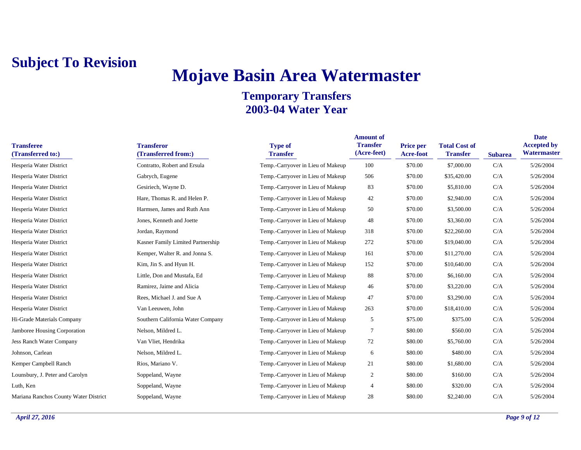# **Mojave Basin Area Watermaster**

| <b>Transferee</b><br>(Transferred to:) | <b>Transferor</b><br>(Transferred from:) | <b>Type of</b><br><b>Transfer</b> | <b>Amount of</b><br><b>Transfer</b><br>(Acre-feet) | Price per<br>Acre-foot | <b>Total Cost of</b><br><b>Transfer</b> | <b>Subarea</b> | <b>Date</b><br><b>Accepted by</b><br>Watermaster |
|----------------------------------------|------------------------------------------|-----------------------------------|----------------------------------------------------|------------------------|-----------------------------------------|----------------|--------------------------------------------------|
| Hesperia Water District                | Contratto, Robert and Ersula             | Temp.-Carryover in Lieu of Makeup | 100                                                | \$70.00                | \$7,000.00                              | C/A            | 5/26/2004                                        |
| Hesperia Water District                | Gabrych, Eugene                          | Temp.-Carryover in Lieu of Makeup | 506                                                | \$70.00                | \$35,420.00                             | C/A            | 5/26/2004                                        |
| Hesperia Water District                | Gesiriech, Wayne D.                      | Temp.-Carryover in Lieu of Makeup | 83                                                 | \$70.00                | \$5,810.00                              | C/A            | 5/26/2004                                        |
| Hesperia Water District                | Hare, Thomas R. and Helen P.             | Temp.-Carryover in Lieu of Makeup | 42                                                 | \$70.00                | \$2,940.00                              | C/A            | 5/26/2004                                        |
| Hesperia Water District                | Harmsen, James and Ruth Ann              | Temp.-Carryover in Lieu of Makeup | 50                                                 | \$70.00                | \$3,500.00                              | C/A            | 5/26/2004                                        |
| Hesperia Water District                | Jones, Kenneth and Joette                | Temp.-Carryover in Lieu of Makeup | 48                                                 | \$70.00                | \$3,360.00                              | C/A            | 5/26/2004                                        |
| Hesperia Water District                | Jordan, Raymond                          | Temp.-Carryover in Lieu of Makeup | 318                                                | \$70.00                | \$22,260.00                             | C/A            | 5/26/2004                                        |
| Hesperia Water District                | Kasner Family Limited Partnership        | Temp.-Carryover in Lieu of Makeup | 272                                                | \$70.00                | \$19,040.00                             | C/A            | 5/26/2004                                        |
| Hesperia Water District                | Kemper, Walter R. and Jonna S.           | Temp.-Carryover in Lieu of Makeup | 161                                                | \$70.00                | \$11,270.00                             | C/A            | 5/26/2004                                        |
| Hesperia Water District                | Kim, Jin S. and Hyun H.                  | Temp.-Carryover in Lieu of Makeup | 152                                                | \$70.00                | \$10,640.00                             | C/A            | 5/26/2004                                        |
| Hesperia Water District                | Little, Don and Mustafa, Ed              | Temp.-Carryover in Lieu of Makeup | 88                                                 | \$70.00                | \$6,160.00                              | C/A            | 5/26/2004                                        |
| Hesperia Water District                | Ramirez, Jaime and Alicia                | Temp.-Carryover in Lieu of Makeup | 46                                                 | \$70.00                | \$3,220.00                              | C/A            | 5/26/2004                                        |
| Hesperia Water District                | Rees, Michael J. and Sue A               | Temp.-Carryover in Lieu of Makeup | 47                                                 | \$70.00                | \$3,290.00                              | C/A            | 5/26/2004                                        |
| Hesperia Water District                | Van Leeuwen, John                        | Temp.-Carryover in Lieu of Makeup | 263                                                | \$70.00                | \$18,410.00                             | C/A            | 5/26/2004                                        |
| Hi-Grade Materials Company             | Southern California Water Company        | Temp.-Carryover in Lieu of Makeup | 5                                                  | \$75.00                | \$375.00                                | C/A            | 5/26/2004                                        |
| Jamboree Housing Corporation           | Nelson, Mildred L.                       | Temp.-Carryover in Lieu of Makeup | $\overline{7}$                                     | \$80.00                | \$560.00                                | C/A            | 5/26/2004                                        |
| Jess Ranch Water Company               | Van Vliet, Hendrika                      | Temp.-Carryover in Lieu of Makeup | 72                                                 | \$80.00                | \$5,760.00                              | C/A            | 5/26/2004                                        |
| Johnson, Carlean                       | Nelson, Mildred L.                       | Temp.-Carryover in Lieu of Makeup | 6                                                  | \$80.00                | \$480.00                                | C/A            | 5/26/2004                                        |
| Kemper Campbell Ranch                  | Rios, Mariano V.                         | Temp.-Carryover in Lieu of Makeup | 21                                                 | \$80.00                | \$1,680.00                              | C/A            | 5/26/2004                                        |
| Lounsbury, J. Peter and Carolyn        | Soppeland, Wayne                         | Temp.-Carryover in Lieu of Makeup | $\boldsymbol{2}$                                   | \$80.00                | \$160.00                                | C/A            | 5/26/2004                                        |
| Luth, Ken                              | Soppeland, Wayne                         | Temp.-Carryover in Lieu of Makeup | $\overline{4}$                                     | \$80.00                | \$320.00                                | C/A            | 5/26/2004                                        |
| Mariana Ranchos County Water District  | Soppeland, Wayne                         | Temp.-Carryover in Lieu of Makeup | 28                                                 | \$80.00                | \$2,240.00                              | C/A            | 5/26/2004                                        |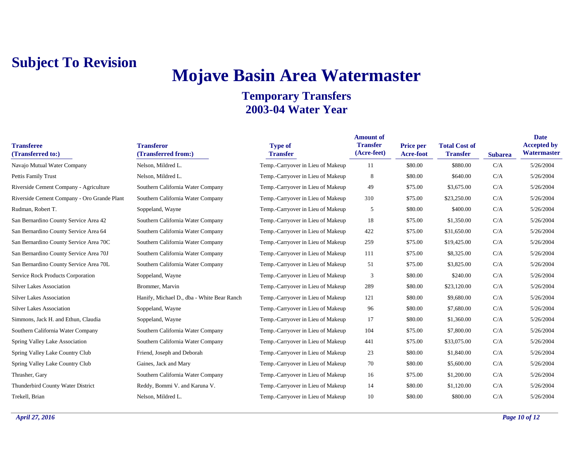## **Mojave Basin Area Watermaster**

| <b>Transferee</b><br>(Transferred to:)      | <b>Transferor</b><br>(Transferred from:)   | <b>Type of</b><br><b>Transfer</b> | <b>Amount of</b><br><b>Transfer</b><br>(Acre-feet) | <b>Price per</b><br>Acre-foot | <b>Total Cost of</b><br><b>Transfer</b> | <b>Subarea</b> | <b>Date</b><br><b>Accepted by</b><br>Watermaster |
|---------------------------------------------|--------------------------------------------|-----------------------------------|----------------------------------------------------|-------------------------------|-----------------------------------------|----------------|--------------------------------------------------|
| Navajo Mutual Water Company                 | Nelson, Mildred L.                         | Temp.-Carryover in Lieu of Makeup | 11                                                 | \$80.00                       | \$880.00                                | C/A            | 5/26/2004                                        |
| Pettis Family Trust                         | Nelson, Mildred L.                         | Temp.-Carryover in Lieu of Makeup | 8                                                  | \$80.00                       | \$640.00                                | C/A            | 5/26/2004                                        |
| Riverside Cement Company - Agriculture      | Southern California Water Company          | Temp.-Carryover in Lieu of Makeup | 49                                                 | \$75.00                       | \$3,675.00                              | C/A            | 5/26/2004                                        |
| Riverside Cement Company - Oro Grande Plant | Southern California Water Company          | Temp.-Carryover in Lieu of Makeup | 310                                                | \$75.00                       | \$23,250.00                             | C/A            | 5/26/2004                                        |
| Rudman, Robert T.                           | Soppeland, Wayne                           | Temp.-Carryover in Lieu of Makeup | 5                                                  | \$80.00                       | \$400.00                                | C/A            | 5/26/2004                                        |
| San Bernardino County Service Area 42       | Southern California Water Company          | Temp.-Carryover in Lieu of Makeup | 18                                                 | \$75.00                       | \$1,350.00                              | C/A            | 5/26/2004                                        |
| San Bernardino County Service Area 64       | Southern California Water Company          | Temp.-Carryover in Lieu of Makeup | 422                                                | \$75.00                       | \$31,650.00                             | C/A            | 5/26/2004                                        |
| San Bernardino County Service Area 70C      | Southern California Water Company          | Temp.-Carryover in Lieu of Makeup | 259                                                | \$75.00                       | \$19,425.00                             | C/A            | 5/26/2004                                        |
| San Bernardino County Service Area 70J      | Southern California Water Company          | Temp.-Carryover in Lieu of Makeup | 111                                                | \$75.00                       | \$8,325.00                              | C/A            | 5/26/2004                                        |
| San Bernardino County Service Area 70L      | Southern California Water Company          | Temp.-Carryover in Lieu of Makeup | 51                                                 | \$75.00                       | \$3,825.00                              | C/A            | 5/26/2004                                        |
| <b>Service Rock Products Corporation</b>    | Soppeland, Wayne                           | Temp.-Carryover in Lieu of Makeup | 3                                                  | \$80.00                       | \$240.00                                | C/A            | 5/26/2004                                        |
| <b>Silver Lakes Association</b>             | Brommer, Marvin                            | Temp.-Carryover in Lieu of Makeup | 289                                                | \$80.00                       | \$23,120.00                             | C/A            | 5/26/2004                                        |
| <b>Silver Lakes Association</b>             | Hanify, Michael D., dba - White Bear Ranch | Temp.-Carryover in Lieu of Makeup | 121                                                | \$80.00                       | \$9,680.00                              | C/A            | 5/26/2004                                        |
| <b>Silver Lakes Association</b>             | Soppeland, Wayne                           | Temp.-Carryover in Lieu of Makeup | 96                                                 | \$80.00                       | \$7,680.00                              | C/A            | 5/26/2004                                        |
| Simmons, Jack H. and Ethun, Claudia         | Soppeland, Wayne                           | Temp.-Carryover in Lieu of Makeup | 17                                                 | \$80.00                       | \$1,360.00                              | C/A            | 5/26/2004                                        |
| Southern California Water Company           | Southern California Water Company          | Temp.-Carryover in Lieu of Makeup | 104                                                | \$75.00                       | \$7,800.00                              | C/A            | 5/26/2004                                        |
| Spring Valley Lake Association              | Southern California Water Company          | Temp.-Carryover in Lieu of Makeup | 441                                                | \$75.00                       | \$33,075.00                             | C/A            | 5/26/2004                                        |
| Spring Valley Lake Country Club             | Friend, Joseph and Deborah                 | Temp.-Carryover in Lieu of Makeup | 23                                                 | \$80.00                       | \$1,840.00                              | C/A            | 5/26/2004                                        |
| Spring Valley Lake Country Club             | Gaines, Jack and Mary                      | Temp.-Carryover in Lieu of Makeup | 70                                                 | \$80.00                       | \$5,600.00                              | C/A            | 5/26/2004                                        |
| Thrasher, Gary                              | Southern California Water Company          | Temp.-Carryover in Lieu of Makeup | 16                                                 | \$75.00                       | \$1,200.00                              | C/A            | 5/26/2004                                        |
| Thunderbird County Water District           | Reddy, Bommi V. and Karuna V.              | Temp.-Carryover in Lieu of Makeup | 14                                                 | \$80.00                       | \$1,120.00                              | C/A            | 5/26/2004                                        |
| Trekell, Brian                              | Nelson, Mildred L.                         | Temp.-Carryover in Lieu of Makeup | 10                                                 | \$80.00                       | \$800.00                                | C/A            | 5/26/2004                                        |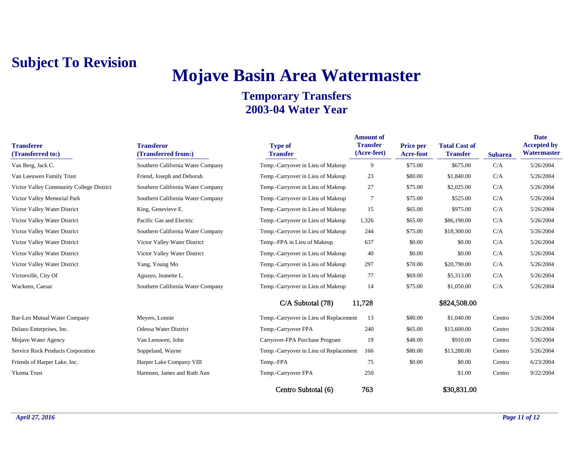# **Mojave Basin Area Watermaster**

| <b>Transferee</b><br>(Transferred to:)   | <b>Transferor</b><br>(Transferred from:) | <b>Type of</b><br><b>Transfer</b>      | <b>Amount of</b><br><b>Transfer</b><br>(Acre-feet) | <b>Price per</b><br><b>Acre-foot</b> | <b>Total Cost of</b><br><b>Transfer</b> | <b>Subarea</b> | <b>Date</b><br><b>Accepted by</b><br>Watermaster |
|------------------------------------------|------------------------------------------|----------------------------------------|----------------------------------------------------|--------------------------------------|-----------------------------------------|----------------|--------------------------------------------------|
| Van Berg, Jack C.                        | Southern California Water Company        | Temp.-Carryover in Lieu of Makeup      | 9                                                  | \$75.00                              | \$675.00                                | C/A            | 5/26/2004                                        |
| Van Leeuwen Family Trust                 | Friend, Joseph and Deborah               | Temp.-Carryover in Lieu of Makeup      | 23                                                 | \$80.00                              | \$1,840.00                              | C/A            | 5/26/2004                                        |
| Victor Valley Community College District | Southern California Water Company        | Temp.-Carryover in Lieu of Makeup      | 27                                                 | \$75.00                              | \$2,025.00                              | C/A            | 5/26/2004                                        |
| Victor Valley Memorial Park              | Southern California Water Company        | Temp.-Carryover in Lieu of Makeup      | 7                                                  | \$75.00                              | \$525.00                                | C/A            | 5/26/2004                                        |
| Victor Valley Water District             | King, Genevieve E.                       | Temp.-Carryover in Lieu of Makeup      | 15                                                 | \$65.00                              | \$975.00                                | C/A            | 5/26/2004                                        |
| Victor Valley Water District             | Pacific Gas and Electric                 | Temp.-Carryover in Lieu of Makeup      | 1,326                                              | \$65.00                              | \$86,190.00                             | C/A            | 5/26/2004                                        |
| Victor Valley Water District             | Southern California Water Company        | Temp.-Carryover in Lieu of Makeup      | 244                                                | \$75.00                              | \$18,300.00                             | C/A            | 5/26/2004                                        |
| Victor Valley Water District             | Victor Valley Water District             | Temp.-FPA in Lieu of Makeup            | 637                                                | \$0.00                               | \$0.00                                  | C/A            | 5/26/2004                                        |
| Victor Valley Water District             | Victor Valley Water District             | Temp.-Carryover in Lieu of Makeup      | 40                                                 | \$0.00                               | \$0.00                                  | C/A            | 5/26/2004                                        |
| Victor Valley Water District             | Yang, Young Mo                           | Temp.-Carryover in Lieu of Makeup      | 297                                                | \$70.00                              | \$20,790.00                             | C/A            | 5/26/2004                                        |
| Victorville, City Of                     | Aguayo, Jeanette L.                      | Temp.-Carryover in Lieu of Makeup      | 77                                                 | \$69.00                              | \$5,313.00                              | C/A            | 5/26/2004                                        |
| Wackeen, Caesar                          | Southern California Water Company        | Temp.-Carryover in Lieu of Makeup      | 14                                                 | \$75.00                              | \$1,050.00                              | C/A            | 5/26/2004                                        |
|                                          |                                          | C/A Subtotal (78)                      | 11,728                                             |                                      | \$824,508.00                            |                |                                                  |
| Bar-Len Mutual Water Company             | Meyers, Lonnie                           | Temp.-Carryover in Lieu of Replacement | 13                                                 | \$80.00                              | \$1,040.00                              | Centro         | 5/26/2004                                        |
| Delano Enterprises, Inc.                 | Odessa Water District                    | Temp.-Carryover FPA                    | 240                                                | \$65.00                              | \$15,600.00                             | Centro         | 5/26/2004                                        |
| Mojave Water Agency                      | Van Leeuwen, John                        | Carryover-FPA Purchase Program         | 19                                                 | \$48.00                              | \$910.00                                | Centro         | 5/26/2004                                        |
| <b>Service Rock Products Corporation</b> | Soppeland, Wayne                         | Temp.-Carryover in Lieu of Replacement | 166                                                | \$80.00                              | \$13,280.00                             | Centro         | 5/26/2004                                        |
| Friends of Harper Lake, Inc.             | Harper Lake Company VIII                 | Temp.-FPA                              | 75                                                 | \$0.00                               | \$0.00                                  | Centro         | 6/23/2004                                        |
| Ykema Trust                              | Harmsen, James and Ruth Ann              | Temp.-Carryover FPA                    | 250                                                |                                      | \$1.00                                  | Centro         | 9/22/2004                                        |
|                                          |                                          | Centro Subtotal (6)                    | 763                                                |                                      | \$30,831.00                             |                |                                                  |
|                                          |                                          |                                        |                                                    |                                      |                                         |                |                                                  |